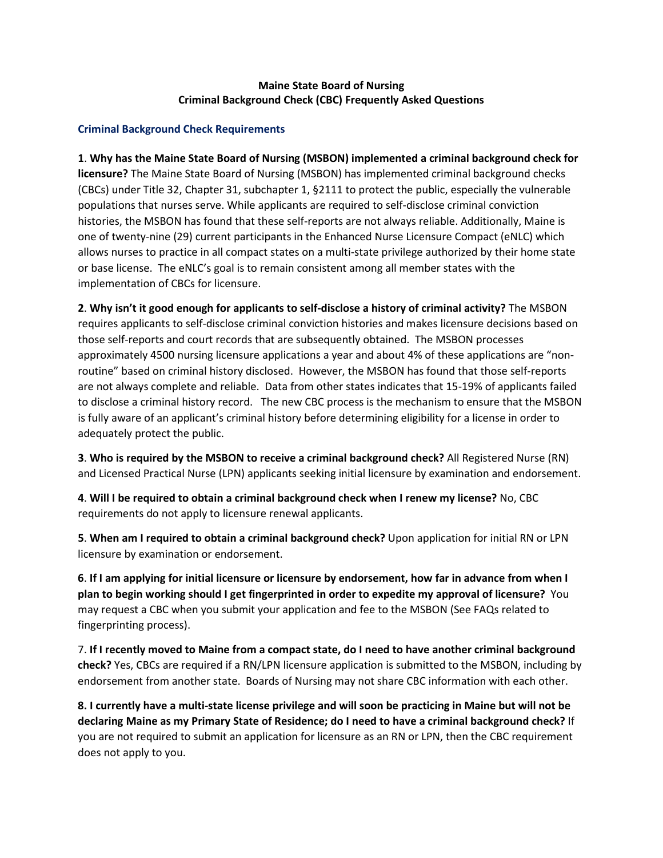## **Maine State Board of Nursing Criminal Background Check (CBC) Frequently Asked Questions**

### **Criminal Background Check Requirements**

**1**. **Why has the Maine State Board of Nursing (MSBON) implemented a criminal background check for licensure?** The Maine State Board of Nursing (MSBON) has implemented criminal background checks (CBCs) under Title 32, Chapter 31, subchapter 1, §2111 to protect the public, especially the vulnerable populations that nurses serve. While applicants are required to self-disclose criminal conviction histories, the MSBON has found that these self-reports are not always reliable. Additionally, Maine is one of twenty-nine (29) current participants in the Enhanced Nurse Licensure Compact (eNLC) which allows nurses to practice in all compact states on a multi-state privilege authorized by their home state or base license. The eNLC's goal is to remain consistent among all member states with the implementation of CBCs for licensure.

**2**. **Why isn't it good enough for applicants to self-disclose a history of criminal activity?** The MSBON requires applicants to self-disclose criminal conviction histories and makes licensure decisions based on those self-reports and court records that are subsequently obtained. The MSBON processes approximately 4500 nursing licensure applications a year and about 4% of these applications are "nonroutine" based on criminal history disclosed. However, the MSBON has found that those self-reports are not always complete and reliable. Data from other states indicates that 15-19% of applicants failed to disclose a criminal history record. The new CBC process is the mechanism to ensure that the MSBON is fully aware of an applicant's criminal history before determining eligibility for a license in order to adequately protect the public.

**3**. **Who is required by the MSBON to receive a criminal background check?** All Registered Nurse (RN) and Licensed Practical Nurse (LPN) applicants seeking initial licensure by examination and endorsement.

**4**. **Will I be required to obtain a criminal background check when I renew my license?** No, CBC requirements do not apply to licensure renewal applicants.

**5**. **When am I required to obtain a criminal background check?** Upon application for initial RN or LPN licensure by examination or endorsement.

**6**. **If I am applying for initial licensure or licensure by endorsement, how far in advance from when I plan to begin working should I get fingerprinted in order to expedite my approval of licensure?** You may request a CBC when you submit your application and fee to the MSBON (See FAQs related to fingerprinting process).

7. **If I recently moved to Maine from a compact state, do I need to have another criminal background check?** Yes, CBCs are required if a RN/LPN licensure application is submitted to the MSBON, including by endorsement from another state. Boards of Nursing may not share CBC information with each other.

**8. I currently have a multi-state license privilege and will soon be practicing in Maine but will not be declaring Maine as my Primary State of Residence; do I need to have a criminal background check?** If you are not required to submit an application for licensure as an RN or LPN, then the CBC requirement does not apply to you.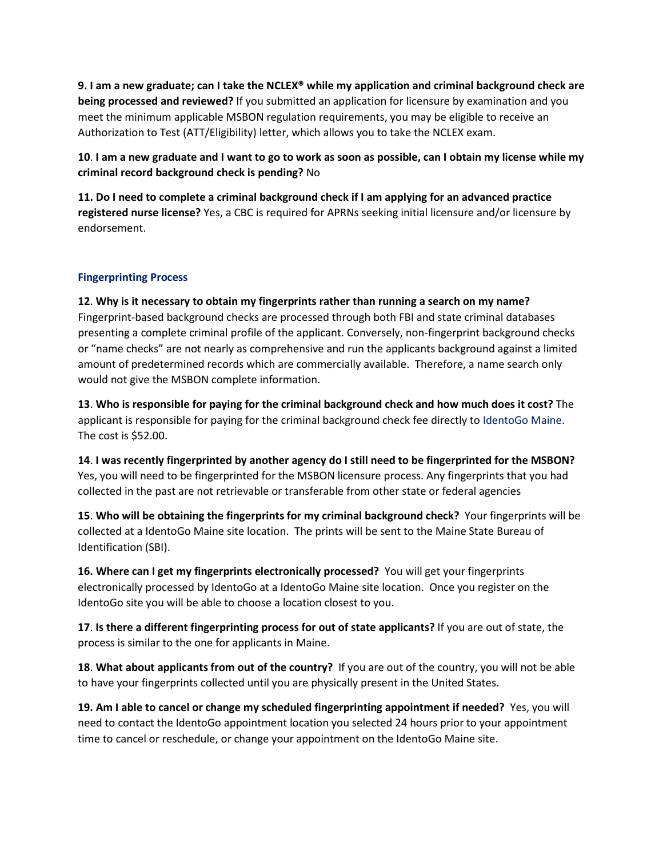**9. I am a new graduate; can I take the NCLEX® while my application and criminal background check are being processed and reviewed?** If you submitted an application for licensure by examination and you meet the minimum applicable MSBON regulation requirements, you may be eligible to receive an Authorization to Test (ATT/Eligibility) letter, which allows you to take the NCLEX exam.

**10**. **I am a new graduate and I want to go to work as soon as possible, can I obtain my license while my criminal record background check is pending?** No

**11. Do I need to complete a criminal background check if I am applying for an advanced practice registered nurse license?** Yes, a CBC is required for APRNs seeking initial licensure and/or licensure by endorsement.

# **Fingerprinting Process**

**12**. **Why is it necessary to obtain my fingerprints rather than running a search on my name?** Fingerprint-based background checks are processed through both FBI and state criminal databases presenting a complete criminal profile of the applicant. Conversely, non-fingerprint background checks or "name checks" are not nearly as comprehensive and run the applicants background against a limited amount of predetermined records which are commercially available. Therefore, a name search only would not give the MSBON complete information.

**13**. **Who is responsible for paying for the criminal background check and how much does it cost?** The applicant is responsible for paying for the criminal background check fee directly to IdentoGo Maine. The cost is \$52.00.

**14**. **I was recently fingerprinted by another agency do I still need to be fingerprinted for the MSBON?** Yes, you will need to be fingerprinted for the MSBON licensure process. Any fingerprints that you had collected in the past are not retrievable or transferable from other state or federal agencies

**15**. **Who will be obtaining the fingerprints for my criminal background check?** Your fingerprints will be collected at a IdentoGo Maine site location. The prints will be sent to the Maine State Bureau of Identification (SBI).

**16. Where can I get my fingerprints electronically processed?** You will get your fingerprints electronically processed by IdentoGo at a IdentoGo Maine site location. Once you register on the IdentoGo site you will be able to choose a location closest to you.

**17**. **Is there a different fingerprinting process for out of state applicants?** If you are out of state, the process is similar to the one for applicants in Maine.

**18**. **What about applicants from out of the country?** If you are out of the country, you will not be able to have your fingerprints collected until you are physically present in the United States.

**19. Am I able to cancel or change my scheduled fingerprinting appointment if needed?** Yes, you will need to contact the IdentoGo appointment location you selected 24 hours prior to your appointment time to cancel or reschedule, or change your appointment on the IdentoGo Maine site.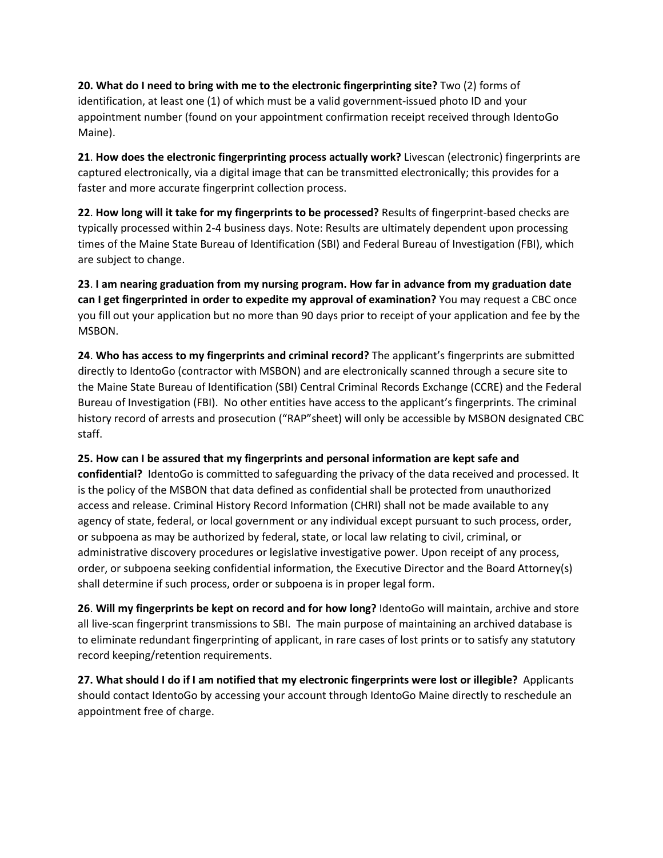**20. What do I need to bring with me to the electronic fingerprinting site?** Two (2) forms of identification, at least one (1) of which must be a valid government-issued photo ID and your appointment number (found on your appointment confirmation receipt received through IdentoGo Maine).

**21**. **How does the electronic fingerprinting process actually work?** Livescan (electronic) fingerprints are captured electronically, via a digital image that can be transmitted electronically; this provides for a faster and more accurate fingerprint collection process.

**22**. **How long will it take for my fingerprints to be processed?** Results of fingerprint-based checks are typically processed within 2-4 business days. Note: Results are ultimately dependent upon processing times of the Maine State Bureau of Identification (SBI) and Federal Bureau of Investigation (FBI), which are subject to change.

**23**. **I am nearing graduation from my nursing program. How far in advance from my graduation date can I get fingerprinted in order to expedite my approval of examination?** You may request a CBC once you fill out your application but no more than 90 days prior to receipt of your application and fee by the MSBON.

**24**. **Who has access to my fingerprints and criminal record?** The applicant's fingerprints are submitted directly to IdentoGo (contractor with MSBON) and are electronically scanned through a secure site to the Maine State Bureau of Identification (SBI) Central Criminal Records Exchange (CCRE) and the Federal Bureau of Investigation (FBI). No other entities have access to the applicant's fingerprints. The criminal history record of arrests and prosecution ("RAP"sheet) will only be accessible by MSBON designated CBC staff.

### **25. How can I be assured that my fingerprints and personal information are kept safe and**

**confidential?** IdentoGo is committed to safeguarding the privacy of the data received and processed. It is the policy of the MSBON that data defined as confidential shall be protected from unauthorized access and release. Criminal History Record Information (CHRI) shall not be made available to any agency of state, federal, or local government or any individual except pursuant to such process, order, or subpoena as may be authorized by federal, state, or local law relating to civil, criminal, or administrative discovery procedures or legislative investigative power. Upon receipt of any process, order, or subpoena seeking confidential information, the Executive Director and the Board Attorney(s) shall determine if such process, order or subpoena is in proper legal form.

**26**. **Will my fingerprints be kept on record and for how long?** IdentoGo will maintain, archive and store all live-scan fingerprint transmissions to SBI. The main purpose of maintaining an archived database is to eliminate redundant fingerprinting of applicant, in rare cases of lost prints or to satisfy any statutory record keeping/retention requirements.

**27. What should I do if I am notified that my electronic fingerprints were lost or illegible?** Applicants should contact IdentoGo by accessing your account through IdentoGo Maine directly to reschedule an appointment free of charge.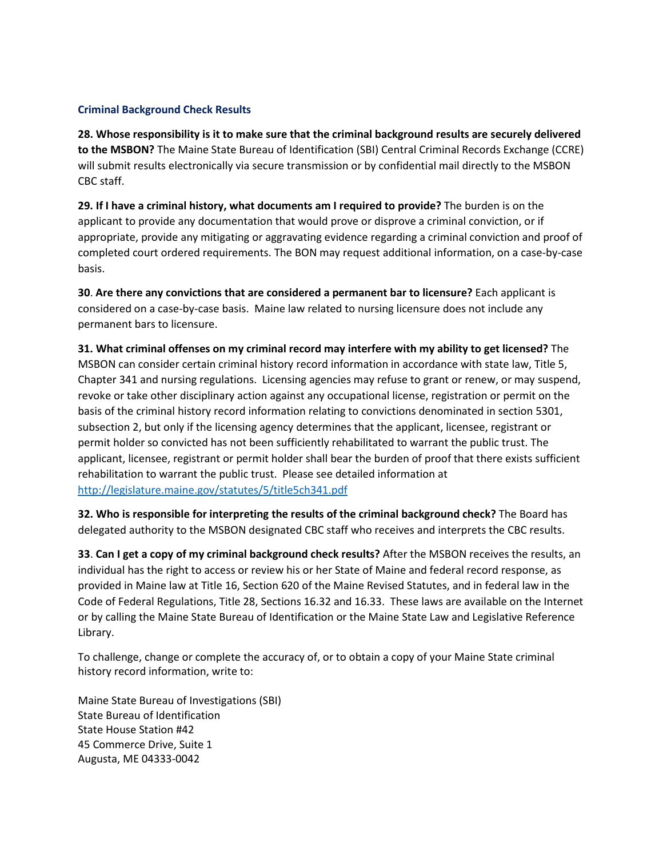### **Criminal Background Check Results**

**28. Whose responsibility is it to make sure that the criminal background results are securely delivered to the MSBON?** The Maine State Bureau of Identification (SBI) Central Criminal Records Exchange (CCRE) will submit results electronically via secure transmission or by confidential mail directly to the MSBON CBC staff.

**29. If I have a criminal history, what documents am I required to provide?** The burden is on the applicant to provide any documentation that would prove or disprove a criminal conviction, or if appropriate, provide any mitigating or aggravating evidence regarding a criminal conviction and proof of completed court ordered requirements. The BON may request additional information, on a case-by-case basis.

**30**. **Are there any convictions that are considered a permanent bar to licensure?** Each applicant is considered on a case-by-case basis. Maine law related to nursing licensure does not include any permanent bars to licensure.

**31. What criminal offenses on my criminal record may interfere with my ability to get licensed?** The MSBON can consider certain criminal history record information in accordance with state law, Title 5, Chapter 341 and nursing regulations. Licensing agencies may refuse to grant or renew, or may suspend, revoke or take other disciplinary action against any occupational license, registration or permit on the basis of the criminal history record information relating to convictions denominated in section 5301, subsection 2, but only if the licensing agency determines that the applicant, licensee, registrant or permit holder so convicted has not been sufficiently rehabilitated to warrant the public trust. The applicant, licensee, registrant or permit holder shall bear the burden of proof that there exists sufficient rehabilitation to warrant the public trust. Please see detailed information at <http://legislature.maine.gov/statutes/5/title5ch341.pdf>

**32. Who is responsible for interpreting the results of the criminal background check?** The Board has delegated authority to the MSBON designated CBC staff who receives and interprets the CBC results.

**33**. **Can I get a copy of my criminal background check results?** After the MSBON receives the results, an individual has the right to access or review his or her State of Maine and federal record response, as provided in Maine law at Title 16, Section 620 of the Maine Revised Statutes, and in federal law in the Code of Federal Regulations, Title 28, Sections 16.32 and 16.33. These laws are available on the Internet or by calling the Maine State Bureau of Identification or the Maine State Law and Legislative Reference Library.

To challenge, change or complete the accuracy of, or to obtain a copy of your Maine State criminal history record information, write to:

Maine State Bureau of Investigations (SBI) State Bureau of Identification State House Station #42 45 Commerce Drive, Suite 1 Augusta, ME 04333-0042